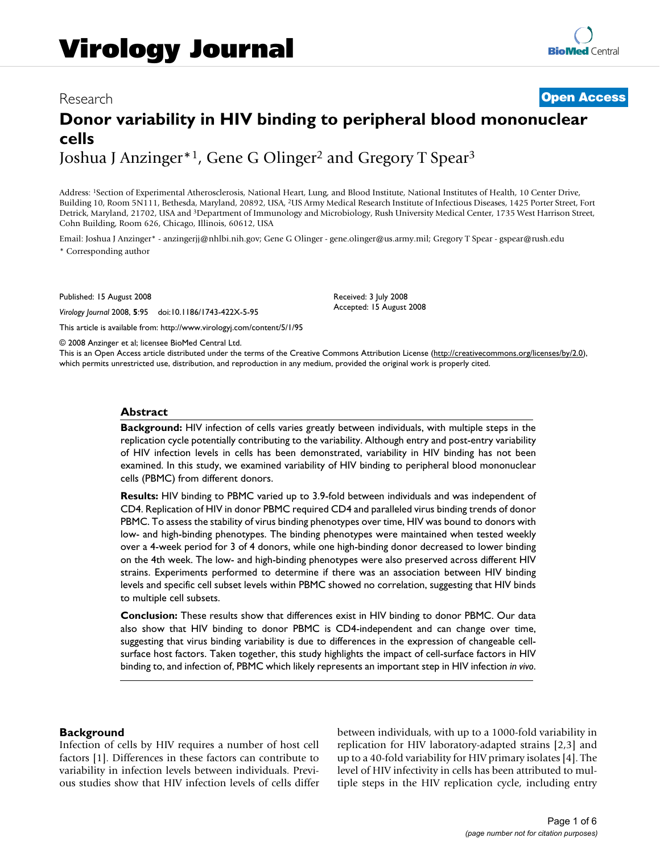## Research **[Open Access](http://www.biomedcentral.com/info/about/charter/)**

# **Donor variability in HIV binding to peripheral blood mononuclear cells** Joshua J Anzinger<sup>\*1</sup>, Gene G Olinger<sup>2</sup> and Gregory T Spear<sup>3</sup>

Address: 1Section of Experimental Atherosclerosis, National Heart, Lung, and Blood Institute, National Institutes of Health, 10 Center Drive, Building 10, Room 5N111, Bethesda, Maryland, 20892, USA, 2US Army Medical Research Institute of Infectious Diseases, 1425 Porter Street, Fort Detrick, Maryland, 21702, USA and 3Department of Immunology and Microbiology, Rush University Medical Center, 1735 West Harrison Street, Cohn Building, Room 626, Chicago, Illinois, 60612, USA

Email: Joshua J Anzinger\* - anzingerjj@nhlbi.nih.gov; Gene G Olinger - gene.olinger@us.army.mil; Gregory T Spear - gspear@rush.edu \* Corresponding author

Published: 15 August 2008

*Virology Journal* 2008, **5**:95 doi:10.1186/1743-422X-5-95

[This article is available from: http://www.virologyj.com/content/5/1/95](http://www.virologyj.com/content/5/1/95)

Accepted: 15 August 2008

Received: 3 July 2008

© 2008 Anzinger et al; licensee BioMed Central Ltd.

This is an Open Access article distributed under the terms of the Creative Commons Attribution License [\(http://creativecommons.org/licenses/by/2.0\)](http://creativecommons.org/licenses/by/2.0), which permits unrestricted use, distribution, and reproduction in any medium, provided the original work is properly cited.

#### **Abstract**

**Background:** HIV infection of cells varies greatly between individuals, with multiple steps in the replication cycle potentially contributing to the variability. Although entry and post-entry variability of HIV infection levels in cells has been demonstrated, variability in HIV binding has not been examined. In this study, we examined variability of HIV binding to peripheral blood mononuclear cells (PBMC) from different donors.

**Results:** HIV binding to PBMC varied up to 3.9-fold between individuals and was independent of CD4. Replication of HIV in donor PBMC required CD4 and paralleled virus binding trends of donor PBMC. To assess the stability of virus binding phenotypes over time, HIV was bound to donors with low- and high-binding phenotypes. The binding phenotypes were maintained when tested weekly over a 4-week period for 3 of 4 donors, while one high-binding donor decreased to lower binding on the 4th week. The low- and high-binding phenotypes were also preserved across different HIV strains. Experiments performed to determine if there was an association between HIV binding levels and specific cell subset levels within PBMC showed no correlation, suggesting that HIV binds to multiple cell subsets.

**Conclusion:** These results show that differences exist in HIV binding to donor PBMC. Our data also show that HIV binding to donor PBMC is CD4-independent and can change over time, suggesting that virus binding variability is due to differences in the expression of changeable cellsurface host factors. Taken together, this study highlights the impact of cell-surface factors in HIV binding to, and infection of, PBMC which likely represents an important step in HIV infection *in vivo*.

#### **Background**

Infection of cells by HIV requires a number of host cell factors [1]. Differences in these factors can contribute to variability in infection levels between individuals. Previous studies show that HIV infection levels of cells differ between individuals, with up to a 1000-fold variability in replication for HIV laboratory-adapted strains [2,3] and up to a 40-fold variability for HIV primary isolates [4]. The level of HIV infectivity in cells has been attributed to multiple steps in the HIV replication cycle, including entry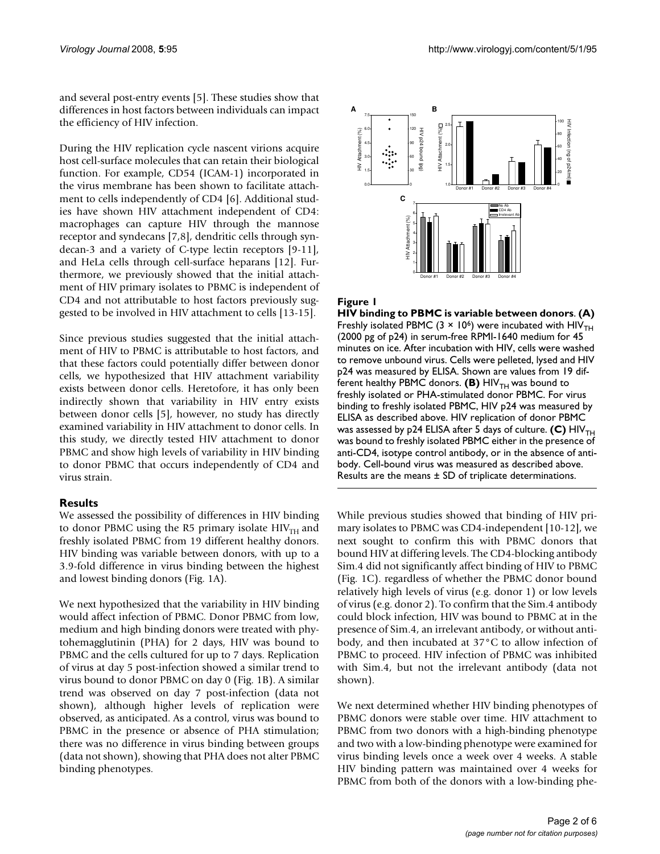and several post-entry events [5]. These studies show that differences in host factors between individuals can impact the efficiency of HIV infection.

During the HIV replication cycle nascent virions acquire host cell-surface molecules that can retain their biological function. For example, CD54 (ICAM-1) incorporated in the virus membrane has been shown to facilitate attachment to cells independently of CD4 [6]. Additional studies have shown HIV attachment independent of CD4: macrophages can capture HIV through the mannose receptor and syndecans [7,8], dendritic cells through syndecan-3 and a variety of C-type lectin receptors [9-11], and HeLa cells through cell-surface heparans [12]. Furthermore, we previously showed that the initial attachment of HIV primary isolates to PBMC is independent of CD4 and not attributable to host factors previously suggested to be involved in HIV attachment to cells [13-15].

Since previous studies suggested that the initial attachment of HIV to PBMC is attributable to host factors, and that these factors could potentially differ between donor cells, we hypothesized that HIV attachment variability exists between donor cells. Heretofore, it has only been indirectly shown that variability in HIV entry exists between donor cells [5], however, no study has directly examined variability in HIV attachment to donor cells. In this study, we directly tested HIV attachment to donor PBMC and show high levels of variability in HIV binding to donor PBMC that occurs independently of CD4 and virus strain.

## **Results**

We assessed the possibility of differences in HIV binding to donor PBMC using the R5 primary isolate  $HIV<sub>TH</sub>$  and freshly isolated PBMC from 19 different healthy donors. HIV binding was variable between donors, with up to a 3.9-fold difference in virus binding between the highest and lowest binding donors (Fig. 1A).

We next hypothesized that the variability in HIV binding would affect infection of PBMC. Donor PBMC from low, medium and high binding donors were treated with phytohemagglutinin (PHA) for 2 days, HIV was bound to PBMC and the cells cultured for up to 7 days. Replication of virus at day 5 post-infection showed a similar trend to virus bound to donor PBMC on day 0 (Fig. 1B). A similar trend was observed on day 7 post-infection (data not shown), although higher levels of replication were observed, as anticipated. As a control, virus was bound to PBMC in the presence or absence of PHA stimulation; there was no difference in virus binding between groups (data not shown), showing that PHA does not alter PBMC binding phenotypes.



## Figure 1

**HIV binding to PBMC is variable between donors**. **(A)**  Freshly isolated PBMC (3  $\times$  10<sup>6</sup>) were incubated with HIV<sub>TH</sub> (2000 pg of p24) in serum-free RPMI-1640 medium for 45 minutes on ice. After incubation with HIV, cells were washed to remove unbound virus. Cells were pelleted, lysed and HIV p24 was measured by ELISA. Shown are values from 19 different healthy PBMC donors. (B) HIV<sub>TH</sub> was bound to freshly isolated or PHA-stimulated donor PBMC. For virus binding to freshly isolated PBMC, HIV p24 was measured by ELISA as described above. HIV replication of donor PBMC was assessed by p24 ELISA after 5 days of culture. **(C)** HIV<sub>TH</sub> was bound to freshly isolated PBMC either in the presence of anti-CD4, isotype control antibody, or in the absence of antibody. Cell-bound virus was measured as described above. Results are the means  $\pm$  SD of triplicate determinations.

While previous studies showed that binding of HIV primary isolates to PBMC was CD4-independent [10-12], we next sought to confirm this with PBMC donors that bound HIV at differing levels. The CD4-blocking antibody Sim.4 did not significantly affect binding of HIV to PBMC (Fig. 1C). regardless of whether the PBMC donor bound relatively high levels of virus (e.g. donor 1) or low levels of virus (e.g. donor 2). To confirm that the Sim.4 antibody could block infection, HIV was bound to PBMC at in the presence of Sim.4, an irrelevant antibody, or without antibody, and then incubated at 37°C to allow infection of PBMC to proceed. HIV infection of PBMC was inhibited with Sim.4, but not the irrelevant antibody (data not shown).

We next determined whether HIV binding phenotypes of PBMC donors were stable over time. HIV attachment to PBMC from two donors with a high-binding phenotype and two with a low-binding phenotype were examined for virus binding levels once a week over 4 weeks. A stable HIV binding pattern was maintained over 4 weeks for PBMC from both of the donors with a low-binding phe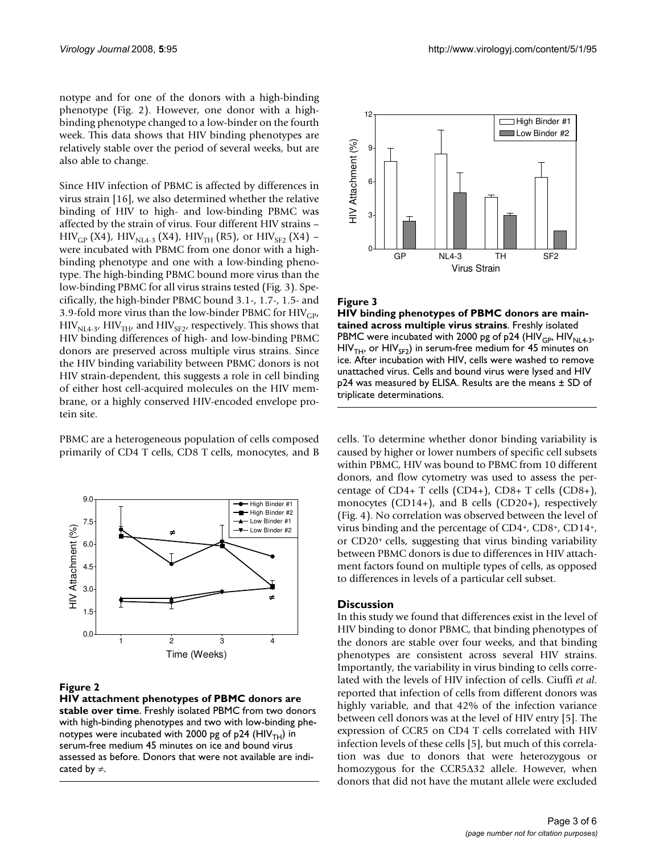notype and for one of the donors with a high-binding phenotype (Fig. 2). However, one donor with a highbinding phenotype changed to a low-binder on the fourth week. This data shows that HIV binding phenotypes are relatively stable over the period of several weeks, but are also able to change.

Since HIV infection of PBMC is affected by differences in virus strain [16], we also determined whether the relative binding of HIV to high- and low-binding PBMC was affected by the strain of virus. Four different HIV strains –  $HIV_{GP}$  (X4),  $HIV_{NLA-3}$  (X4),  $HIV_{TH}$  (R5), or  $HIV_{SF2}$  (X4) – were incubated with PBMC from one donor with a highbinding phenotype and one with a low-binding phenotype. The high-binding PBMC bound more virus than the low-binding PBMC for all virus strains tested (Fig. 3). Specifically, the high-binder PBMC bound 3.1-, 1.7-, 1.5- and 3.9-fold more virus than the low-binder PBMC for  $HIV_{CP}$ ,  $HIV_{NL4-3}$ ,  $HIV_{TH}$ , and  $HIV_{SF2}$ , respectively. This shows that HIV binding differences of high- and low-binding PBMC donors are preserved across multiple virus strains. Since the HIV binding variability between PBMC donors is not HIV strain-dependent, this suggests a role in cell binding of either host cell-acquired molecules on the HIV membrane, or a highly conserved HIV-encoded envelope protein site.

PBMC are a heterogeneous population of cells composed primarily of CD4 T cells, CD8 T cells, monocytes, and B



#### **Figure 2**

**HIV attachment phenotypes of PBMC donors are stable over time**. Freshly isolated PBMC from two donors with high-binding phenotypes and two with low-binding phenotypes were incubated with 2000 pg of p24 (HIV $_{TH}$ ) in serum-free medium 45 minutes on ice and bound virus assessed as before. Donors that were not available are indicated by ≠.



#### Figure 3

**HIV binding phenotypes of PBMC donors are maintained across multiple virus strains**. Freshly isolated PBMC were incubated with 2000 pg of p24 (HIV<sub>GP</sub>, HIV<sub>NL4-3</sub>,  $HIV<sub>TH</sub>$ , or  $HIV<sub>SP</sub>$ ) in serum-free medium for 45 minutes on ice. After incubation with HIV, cells were washed to remove unattached virus. Cells and bound virus were lysed and HIV p24 was measured by ELISA. Results are the means ± SD of triplicate determinations.

cells. To determine whether donor binding variability is caused by higher or lower numbers of specific cell subsets within PBMC, HIV was bound to PBMC from 10 different donors, and flow cytometry was used to assess the percentage of CD4+ T cells (CD4+), CD8+ T cells (CD8+), monocytes (CD14+), and B cells (CD20+), respectively (Fig. 4). No correlation was observed between the level of virus binding and the percentage of CD4+, CD8+, CD14+, or CD20+ cells, suggesting that virus binding variability between PBMC donors is due to differences in HIV attachment factors found on multiple types of cells, as opposed to differences in levels of a particular cell subset.

#### **Discussion**

In this study we found that differences exist in the level of HIV binding to donor PBMC, that binding phenotypes of the donors are stable over four weeks, and that binding phenotypes are consistent across several HIV strains. Importantly, the variability in virus binding to cells correlated with the levels of HIV infection of cells. Ciuffi *et al*. reported that infection of cells from different donors was highly variable, and that 42% of the infection variance between cell donors was at the level of HIV entry [5]. The expression of CCR5 on CD4 T cells correlated with HIV infection levels of these cells [5], but much of this correlation was due to donors that were heterozygous or homozygous for the CCR5Δ32 allele. However, when donors that did not have the mutant allele were excluded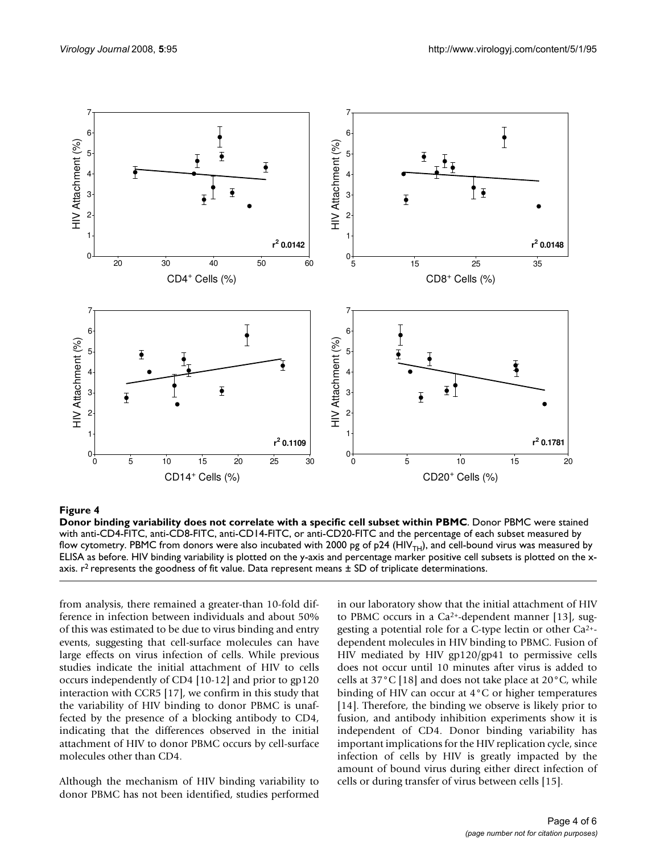

#### Figure 4

**Donor binding variability does not correlate with a specific cell subset within PBMC**. Donor PBMC were stained with anti-CD4-FITC, anti-CD8-FITC, anti-CD14-FITC, or anti-CD20-FITC and the percentage of each subset measured by flow cytometry. PBMC from donors were also incubated with 2000 pg of p24 (HIV<sub>TH</sub>), and cell-bound virus was measured by ELISA as before. HIV binding variability is plotted on the y-axis and percentage marker positive cell subsets is plotted on the xaxis.  $r^2$  represents the goodness of fit value. Data represent means  $\pm$  SD of triplicate determinations.

from analysis, there remained a greater-than 10-fold difference in infection between individuals and about 50% of this was estimated to be due to virus binding and entry events, suggesting that cell-surface molecules can have large effects on virus infection of cells. While previous studies indicate the initial attachment of HIV to cells occurs independently of CD4 [10-12] and prior to gp120 interaction with CCR5 [17], we confirm in this study that the variability of HIV binding to donor PBMC is unaffected by the presence of a blocking antibody to CD4, indicating that the differences observed in the initial attachment of HIV to donor PBMC occurs by cell-surface molecules other than CD4.

Although the mechanism of HIV binding variability to donor PBMC has not been identified, studies performed

in our laboratory show that the initial attachment of HIV to PBMC occurs in a Ca<sup>2+</sup>-dependent manner [13], suggesting a potential role for a C-type lectin or other Ca2+ dependent molecules in HIV binding to PBMC. Fusion of HIV mediated by HIV gp120/gp41 to permissive cells does not occur until 10 minutes after virus is added to cells at  $37^{\circ}$ C [18] and does not take place at  $20^{\circ}$ C, while binding of HIV can occur at 4°C or higher temperatures [14]. Therefore, the binding we observe is likely prior to fusion, and antibody inhibition experiments show it is independent of CD4. Donor binding variability has important implications for the HIV replication cycle, since infection of cells by HIV is greatly impacted by the amount of bound virus during either direct infection of cells or during transfer of virus between cells [15].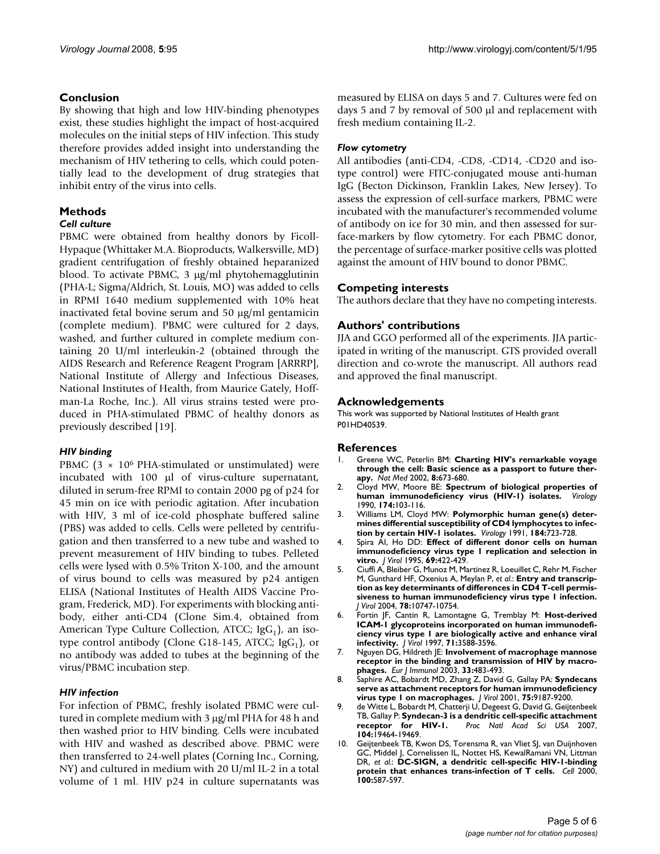## **Conclusion**

By showing that high and low HIV-binding phenotypes exist, these studies highlight the impact of host-acquired molecules on the initial steps of HIV infection. This study therefore provides added insight into understanding the mechanism of HIV tethering to cells, which could potentially lead to the development of drug strategies that inhibit entry of the virus into cells.

## **Methods**

## *Cell culture*

PBMC were obtained from healthy donors by Ficoll-Hypaque (Whittaker M.A. Bioproducts, Walkersville, MD) gradient centrifugation of freshly obtained heparanized blood. To activate PBMC, 3 μg/ml phytohemagglutinin (PHA-L; Sigma/Aldrich, St. Louis, MO) was added to cells in RPMI 1640 medium supplemented with 10% heat inactivated fetal bovine serum and 50 μg/ml gentamicin (complete medium). PBMC were cultured for 2 days, washed, and further cultured in complete medium containing 20 U/ml interleukin-2 (obtained through the AIDS Research and Reference Reagent Program [ARRRP], National Institute of Allergy and Infectious Diseases, National Institutes of Health, from Maurice Gately, Hoffman-La Roche, Inc.). All virus strains tested were produced in PHA-stimulated PBMC of healthy donors as previously described [19].

## *HIV binding*

PBMC  $(3 \times 10^6$  PHA-stimulated or unstimulated) were incubated with 100 μl of virus-culture supernatant, diluted in serum-free RPMI to contain 2000 pg of p24 for 45 min on ice with periodic agitation. After incubation with HIV, 3 ml of ice-cold phosphate buffered saline (PBS) was added to cells. Cells were pelleted by centrifugation and then transferred to a new tube and washed to prevent measurement of HIV binding to tubes. Pelleted cells were lysed with 0.5% Triton X-100, and the amount of virus bound to cells was measured by p24 antigen ELISA (National Institutes of Health AIDS Vaccine Program, Frederick, MD). For experiments with blocking antibody, either anti-CD4 (Clone Sim.4, obtained from American Type Culture Collection, ATCC;  $\text{IgG}_1$ ), an isotype control antibody (Clone G18-145, ATCC;  $\text{lgG}_1$ ), or no antibody was added to tubes at the beginning of the virus/PBMC incubation step.

## *HIV infection*

For infection of PBMC, freshly isolated PBMC were cultured in complete medium with 3 μg/ml PHA for 48 h and then washed prior to HIV binding. Cells were incubated with HIV and washed as described above. PBMC were then transferred to 24-well plates (Corning Inc., Corning, NY) and cultured in medium with 20 U/ml IL-2 in a total volume of 1 ml. HIV p24 in culture supernatants was

measured by ELISA on days 5 and 7. Cultures were fed on days 5 and 7 by removal of 500 μl and replacement with fresh medium containing IL-2.

## *Flow cytometry*

All antibodies (anti-CD4, -CD8, -CD14, -CD20 and isotype control) were FITC-conjugated mouse anti-human IgG (Becton Dickinson, Franklin Lakes, New Jersey). To assess the expression of cell-surface markers, PBMC were incubated with the manufacturer's recommended volume of antibody on ice for 30 min, and then assessed for surface-markers by flow cytometry. For each PBMC donor, the percentage of surface-marker positive cells was plotted against the amount of HIV bound to donor PBMC.

## **Competing interests**

The authors declare that they have no competing interests.

## **Authors' contributions**

JJA and GGO performed all of the experiments. JJA participated in writing of the manuscript. GTS provided overall direction and co-wrote the manuscript. All authors read and approved the final manuscript.

## **Acknowledgements**

This work was supported by National Institutes of Health grant P01HD40539.

#### **References**

- 1. Greene WC, Peterlin BM: **[Charting HIV's remarkable voyage](http://www.ncbi.nlm.nih.gov/entrez/query.fcgi?cmd=Retrieve&db=PubMed&dopt=Abstract&list_uids=12091904) [through the cell: Basic science as a passport to future ther](http://www.ncbi.nlm.nih.gov/entrez/query.fcgi?cmd=Retrieve&db=PubMed&dopt=Abstract&list_uids=12091904)[apy.](http://www.ncbi.nlm.nih.gov/entrez/query.fcgi?cmd=Retrieve&db=PubMed&dopt=Abstract&list_uids=12091904)** *Nat Med* 2002, **8:**673-680.
- 2. Cloyd MW, Moore BE: **[Spectrum of biological properties of](http://www.ncbi.nlm.nih.gov/entrez/query.fcgi?cmd=Retrieve&db=PubMed&dopt=Abstract&list_uids=1688473)** [human immunodeficiency virus \(HIV-1\) isolates.](http://www.ncbi.nlm.nih.gov/entrez/query.fcgi?cmd=Retrieve&db=PubMed&dopt=Abstract&list_uids=1688473) 1990, **174:**103-116.
- 3. Williams LM, Cloyd MW: **[Polymorphic human gene\(s\) deter](http://www.ncbi.nlm.nih.gov/entrez/query.fcgi?cmd=Retrieve&db=PubMed&dopt=Abstract&list_uids=1716027)[mines differential susceptibility of CD4 lymphocytes to infec](http://www.ncbi.nlm.nih.gov/entrez/query.fcgi?cmd=Retrieve&db=PubMed&dopt=Abstract&list_uids=1716027)[tion by certain HIV-1 isolates.](http://www.ncbi.nlm.nih.gov/entrez/query.fcgi?cmd=Retrieve&db=PubMed&dopt=Abstract&list_uids=1716027)** *Virology* 1991, **184:**723-728.
- 4. Spira AI, Ho DD: **[Effect of different donor cells on human](http://www.ncbi.nlm.nih.gov/entrez/query.fcgi?cmd=Retrieve&db=PubMed&dopt=Abstract&list_uids=7983738) [immunodeficiency virus type 1 replication and selection in](http://www.ncbi.nlm.nih.gov/entrez/query.fcgi?cmd=Retrieve&db=PubMed&dopt=Abstract&list_uids=7983738) [vitro.](http://www.ncbi.nlm.nih.gov/entrez/query.fcgi?cmd=Retrieve&db=PubMed&dopt=Abstract&list_uids=7983738)** *J Virol* 1995, **69:**422-429.
- 5. Ciuffi A, Bleiber G, Munoz M, Martinez R, Loeuillet C, Rehr M, Fischer M, Gunthard HF, Oxenius A, Meylan P, *et al.*: **[Entry and transcrip](http://www.ncbi.nlm.nih.gov/entrez/query.fcgi?cmd=Retrieve&db=PubMed&dopt=Abstract&list_uids=15367641)[tion as key determinants of differences in CD4 T-cell permis](http://www.ncbi.nlm.nih.gov/entrez/query.fcgi?cmd=Retrieve&db=PubMed&dopt=Abstract&list_uids=15367641)siveness to human immunodeficiency virus type 1 infection.** *J Virol* 2004, **78:**10747-10754.
- 6. Fortin JF, Cantin R, Lamontagne G, Tremblay M: **[Host-derived](http://www.ncbi.nlm.nih.gov/entrez/query.fcgi?cmd=Retrieve&db=PubMed&dopt=Abstract&list_uids=9094631) [ICAM-1 glycoproteins incorporated on human immunodefi](http://www.ncbi.nlm.nih.gov/entrez/query.fcgi?cmd=Retrieve&db=PubMed&dopt=Abstract&list_uids=9094631)ciency virus type 1 are biologically active and enhance viral [infectivity.](http://www.ncbi.nlm.nih.gov/entrez/query.fcgi?cmd=Retrieve&db=PubMed&dopt=Abstract&list_uids=9094631)** *J Virol* 1997, **71:**3588-3596.
- 7. Nguyen DG, Hildreth JE: **[Involvement of macrophage mannose](http://www.ncbi.nlm.nih.gov/entrez/query.fcgi?cmd=Retrieve&db=PubMed&dopt=Abstract&list_uids=12645947) [receptor in the binding and transmission of HIV by macro](http://www.ncbi.nlm.nih.gov/entrez/query.fcgi?cmd=Retrieve&db=PubMed&dopt=Abstract&list_uids=12645947)[phages.](http://www.ncbi.nlm.nih.gov/entrez/query.fcgi?cmd=Retrieve&db=PubMed&dopt=Abstract&list_uids=12645947)** *Eur J Immunol* 2003, **33:**483-493.
- 8. Saphire AC, Bobardt MD, Zhang Z, David G, Gallay PA: **[Syndecans](http://www.ncbi.nlm.nih.gov/entrez/query.fcgi?cmd=Retrieve&db=PubMed&dopt=Abstract&list_uids=11533182) [serve as attachment receptors for human immunodeficiency](http://www.ncbi.nlm.nih.gov/entrez/query.fcgi?cmd=Retrieve&db=PubMed&dopt=Abstract&list_uids=11533182) [virus type 1 on macrophages.](http://www.ncbi.nlm.nih.gov/entrez/query.fcgi?cmd=Retrieve&db=PubMed&dopt=Abstract&list_uids=11533182)** *J Virol* 2001, **75:**9187-9200.
- 9. de Witte L, Bobardt M, Chatterji U, Degeest G, David G, Geijtenbeek TB, Gallay P: **[Syndecan-3 is a dendritic cell-specific attachment](http://www.ncbi.nlm.nih.gov/entrez/query.fcgi?cmd=Retrieve&db=PubMed&dopt=Abstract&list_uids=18040049)** Proc Natl Acad Sci USA 2007, **104:**19464-19469.
- 10. Geijtenbeek TB, Kwon DS, Torensma R, van Vliet SJ, van Duijnhoven GC, Middel J, Cornelissen IL, Nottet HS, KewalRamani VN, Littman DR, *et al.*: **[DC-SIGN, a dendritic cell-specific HIV-1-binding](http://www.ncbi.nlm.nih.gov/entrez/query.fcgi?cmd=Retrieve&db=PubMed&dopt=Abstract&list_uids=10721995) [protein that enhances trans-infection of T cells.](http://www.ncbi.nlm.nih.gov/entrez/query.fcgi?cmd=Retrieve&db=PubMed&dopt=Abstract&list_uids=10721995)** *Cell* 2000, **100:**587-597.